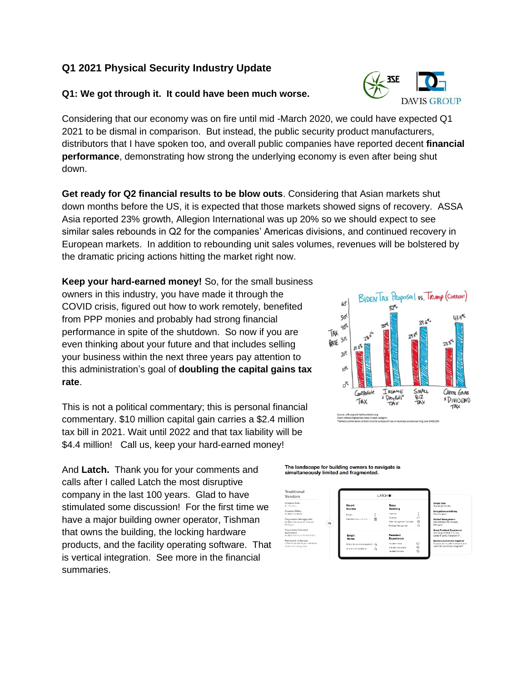# **Q1 2021 Physical Security Industry Update**

## **Q1: We got through it. It could have been much worse.**

Considering that our economy was on fire until mid -March 2020, we could have expected Q1 2021 to be dismal in comparison. But instead, the public security product manufacturers, distributors that I have spoken too, and overall public companies have reported decent **financial performance**, demonstrating how strong the underlying economy is even after being shut down.

**Get ready for Q2 financial results to be blow outs**. Considering that Asian markets shut down months before the US, it is expected that those markets showed signs of recovery. ASSA Asia reported 23% growth, Allegion International was up 20% so we should expect to see similar sales rebounds in Q2 for the companies' Americas divisions, and continued recovery in European markets. In addition to rebounding unit sales volumes, revenues will be bolstered by the dramatic pricing actions hitting the market right now.

**Keep your hard-earned money!** So, for the small business owners in this industry, you have made it through the COVID crisis, figured out how to work remotely, benefited from PPP monies and probably had strong financial performance in spite of the shutdown. So now if you are even thinking about your future and that includes selling your business within the next three years pay attention to this administration's goal of **doubling the capital gains tax rate**.

This is not a political commentary; this is personal financial commentary. \$10 million capital gain carries a \$2.4 million tax bill in 2021. Wait until 2022 and that tax liability will be \$4.4 million! Call us, keep your hard-earned money!

And **Latch.** Thank you for your comments and calls after I called Latch the most disruptive company in the last 100 years. Glad to have stimulated some discussion! For the first time we have a major building owner operator, Tishman that owns the building, the locking hardware products, and the facility operating software. That is vertical integration. See more in the financial summaries.







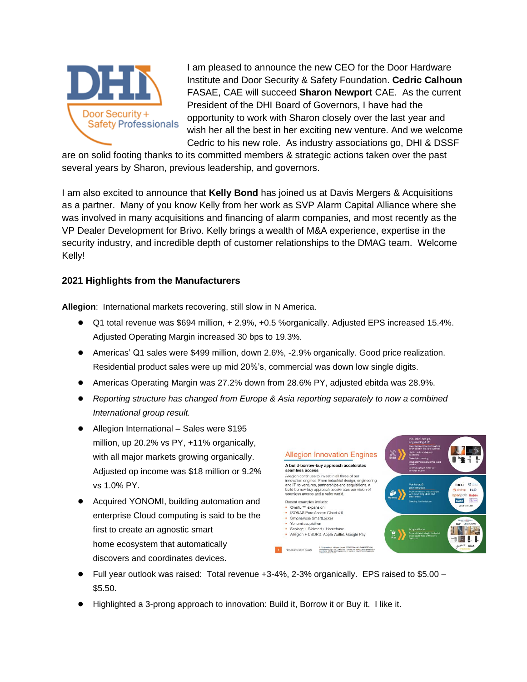

I am pleased to announce the new CEO for the Door Hardware Institute and Door Security & Safety Foundation. **Cedric Calhoun**  FASAE, CAE will succeed **Sharon Newport** CAE. As the current President of the DHI Board of Governors, I have had the opportunity to work with Sharon closely over the last year and wish her all the best in her exciting new venture. And we welcome Cedric to his new role. As industry associations go, DHI & DSSF

are on solid footing thanks to its committed members & strategic actions taken over the past several years by Sharon, previous leadership, and governors.

I am also excited to announce that **Kelly Bond** has joined us at Davis Mergers & Acquisitions as a partner. Many of you know Kelly from her work as SVP Alarm Capital Alliance where she was involved in many acquisitions and financing of alarm companies, and most recently as the VP Dealer Development for Brivo. Kelly brings a wealth of M&A experience, expertise in the security industry, and incredible depth of customer relationships to the DMAG team. Welcome Kelly!

## **2021 Highlights from the Manufacturers**

**Allegion**: International markets recovering, still slow in N America.

- Q1 total revenue was \$694 million, + 2.9%, +0.5 %organically. Adjusted EPS increased 15.4%. Adjusted Operating Margin increased 30 bps to 19.3%.
- Americas' Q1 sales were \$499 million, down 2.6%, -2.9% organically. Good price realization. Residential product sales were up mid 20%'s, commercial was down low single digits.
- Americas Operating Margin was 27.2% down from 28.6% PY, adjusted ebitda was 28.9%.
- *Reporting structure has changed from Europe & Asia reporting separately to now a combined International group result.*
- Allegion International Sales were \$195 million, up 20.2% vs PY, +11% organically, with all major markets growing organically. Adjusted op income was \$18 million or 9.2% vs 1.0% PY.
- Acquired YONOMI, building automation and enterprise Cloud computing is said to be the first to create an agnostic [smart](https://www.securitysales.com/category/automation/smart-home/)  [home](https://www.securitysales.com/category/automation/smart-home/) ecosystem that automatically discovers and coordinates devices.



- $\bullet$  Full year outlook was raised: Total revenue +3-4%, 2-3% organically. EPS raised to \$5.00 \$5.50.
- Highlighted a 3-prong approach to innovation: Build it, Borrow it or Buy it. I like it.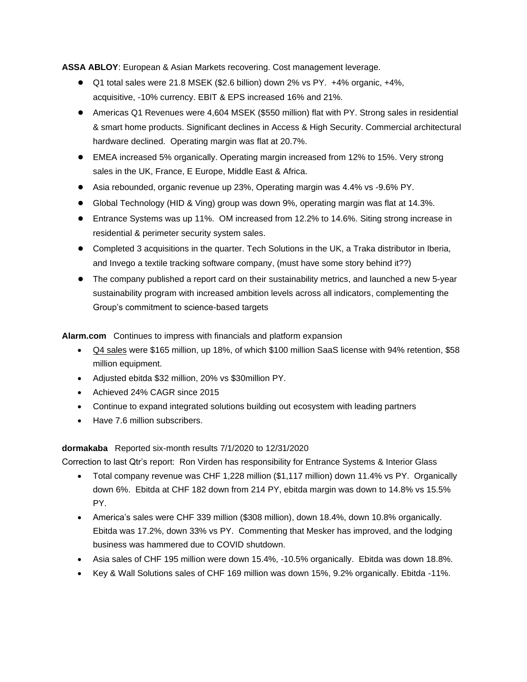**ASSA ABLOY**: European & Asian Markets recovering. Cost management leverage.

- Q1 total sales were 21.8 MSEK (\$2.6 billion) down 2% vs PY. +4% organic, +4%, acquisitive, -10% currency. EBIT & EPS increased 16% and 21%.
- Americas Q1 Revenues were 4,604 MSEK (\$550 million) flat with PY. Strong sales in residential & smart home products. Significant declines in Access & High Security. Commercial architectural hardware declined. Operating margin was flat at 20.7%.
- EMEA increased 5% organically. Operating margin increased from 12% to 15%. Very strong sales in the UK, France, E Europe, Middle East & Africa.
- Asia rebounded, organic revenue up 23%, Operating margin was 4.4% vs -9.6% PY.
- Global Technology (HID & Ving) group was down 9%, operating margin was flat at 14.3%.
- Entrance Systems was up 11%. OM increased from 12.2% to 14.6%. Siting strong increase in residential & perimeter security system sales.
- Completed 3 acquisitions in the quarter. Tech Solutions in the UK, a Traka distributor in Iberia, and Invego a textile tracking software company, (must have some story behind it??)
- The company published a report card on their sustainability metrics, and launched a new 5-year sustainability program with increased ambition levels across all indicators, complementing the Group's commitment to science-based targets

**Alarm.com** Continues to impress with financials and platform expansion

- Q4 sales were \$165 million, up 18%, of which \$100 million SaaS license with 94% retention, \$58 million equipment.
- Adjusted ebitda \$32 million, 20% vs \$30million PY.
- Achieved 24% CAGR since 2015
- Continue to expand integrated solutions building out ecosystem with leading partners
- Have 7.6 million subscribers.

#### **dormakaba** Reported six-month results 7/1/2020 to 12/31/2020

Correction to last Qtr's report: Ron Virden has responsibility for Entrance Systems & Interior Glass

- Total company revenue was CHF 1,228 million (\$1,117 million) down 11.4% vs PY. Organically down 6%. Ebitda at CHF 182 down from 214 PY, ebitda margin was down to 14.8% vs 15.5% PY.
- America's sales were CHF 339 million (\$308 million), down 18.4%, down 10.8% organically. Ebitda was 17.2%, down 33% vs PY. Commenting that Mesker has improved, and the lodging business was hammered due to COVID shutdown.
- Asia sales of CHF 195 million were down 15.4%, -10.5% organically. Ebitda was down 18.8%.
- Key & Wall Solutions sales of CHF 169 million was down 15%, 9.2% organically. Ebitda -11%.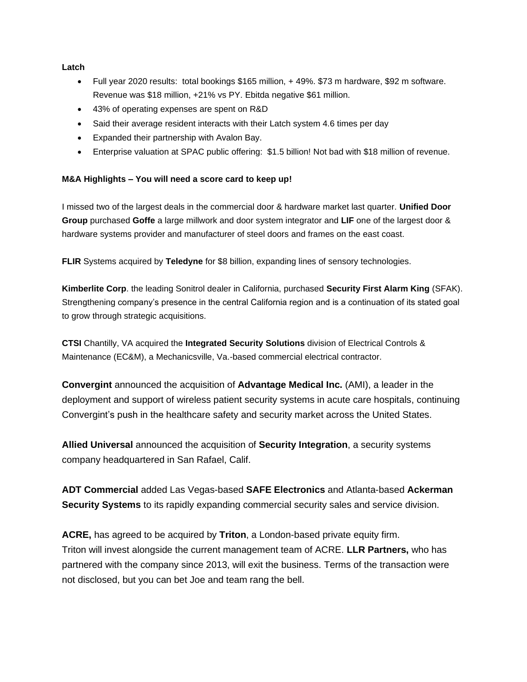**Latch**

- Full year 2020 results: total bookings \$165 million, + 49%. \$73 m hardware, \$92 m software. Revenue was \$18 million, +21% vs PY. Ebitda negative \$61 million.
- 43% of operating expenses are spent on R&D
- Said their average resident interacts with their Latch system 4.6 times per day
- Expanded their partnership with Avalon Bay.
- Enterprise valuation at SPAC public offering: \$1.5 billion! Not bad with \$18 million of revenue.

#### **M&A Highlights – You will need a score card to keep up!**

I missed two of the largest deals in the commercial door & hardware market last quarter. **Unified Door Group** purchased **Goffe** a large millwork and door system integrator and **LIF** one of the largest door & hardware systems provider and manufacturer of steel doors and frames on the east coast.

**FLIR** Systems acquired by **Teledyne** for \$8 billion, expanding lines of sensory technologies.

**[Kimberlite Corp](https://www.securitysales.com/company-tag/kimberlite/)**. the leading Sonitrol dealer in California, purchased **Security First Alarm King** (SFAK). Strengthening company's presence in the central California region and is a continuation of its stated goal to grow through strategic acquisitions.

**CTSI** Chantilly, VA acquired the **Integrated Security Solutions** division of Electrical Controls & Maintenance (EC&M), a Mechanicsville, Va.-based commercial electrical contractor.

**Convergint** announced the acquisition of **Advantage Medical Inc.** (AMI), a leader in the deployment and support of wireless patient security systems in acute care hospitals, continuing Convergint's push in the [healthcare safety](https://www.securitysales.com/tag/healthcaremarket/) and security market across the United States.

**[Allied Universal](https://www.securitysales.com/company-tag/allied-universal/)** announced the acquisition of **Security Integration**, a security systems company headquartered in San Rafael, Calif.

**ADT Commercial** added Las Vegas-based **SAFE Electronics** and Atlanta-based **Ackerman Security Systems** to its rapidly expanding commercial security sales and service division.

**[ACRE,](https://www.securitysales.com/company-tag/acre/)** has agreed to be acquired by **Triton**, a London-based private equity firm. Triton will invest alongside the current management team of ACRE. **LLR Partners,** who has partnered with the company since 2013, will exit the business. Terms of the transaction were not disclosed, but you can bet Joe and team rang the bell.